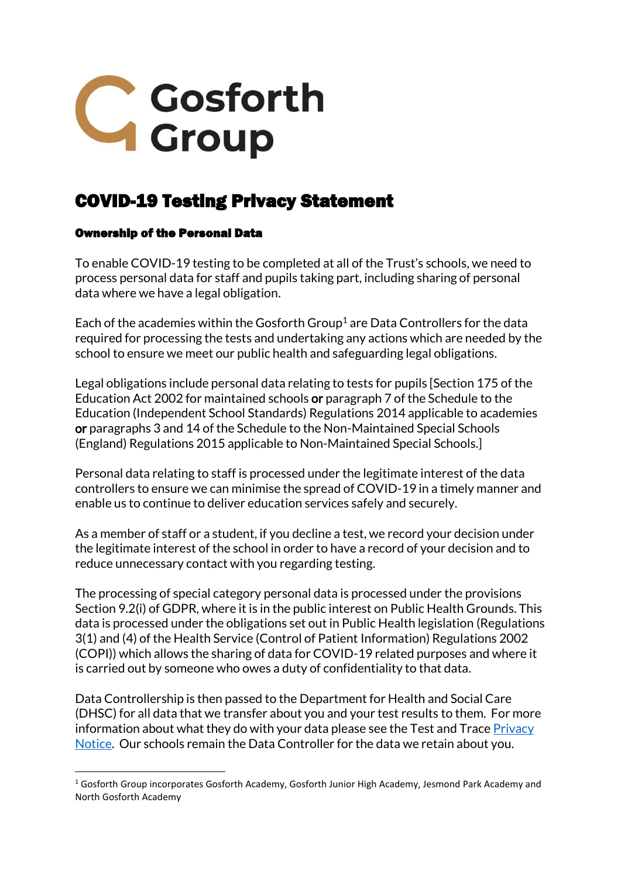

# COVID-19 Testing Privacy Statement

#### Ownership of the Personal Data

1

To enable COVID-19 testing to be completed at all of the Trust's schools, we need to process personal data for staff and pupils taking part, including sharing of personal data where we have a legal obligation.

Each of the academies within the Gosforth Group<sup>1</sup> are Data Controllers for the data required for processing the tests and undertaking any actions which are needed by the school to ensure we meet our public health and safeguarding legal obligations.

Legal obligations include personal data relating to tests for pupils [Section 175 of the Education Act 2002 for maintained schools or paragraph 7 of the Schedule to the Education (Independent School Standards) Regulations 2014 applicable to academies or paragraphs 3 and 14 of the Schedule to the Non-Maintained Special Schools (England) Regulations 2015 applicable to Non-Maintained Special Schools.]

Personal data relating to staff is processed under the legitimate interest of the data controllers to ensure we can minimise the spread of COVID-19 in a timely manner and enable us to continue to deliver education services safely and securely.

As a member of staff or a student, if you decline a test, we record your decision under the legitimate interest of the school in order to have a record of your decision and to reduce unnecessary contact with you regarding testing.

The processing of special category personal data is processed under the provisions Section 9.2(i) of GDPR, where it is in the public interest on Public Health Grounds. This data is processed under the obligations set out in Public Health legislation (Regulations 3(1) and (4) of the Health Service (Control of Patient Information) Regulations 2002 (COPI)) which allows the sharing of data for COVID-19 related purposes and where it is carried out by someone who owes a duty of confidentiality to that data.

Data Controllership is then passed to the Department for Health and Social Care (DHSC) for all data that we transfer about you and your test results to them. For more information about what they do with your data please see the Test and Trace Privacy [Notice.](https://contact-tracing.phe.gov.uk/help/privacy-notice) Our schools remain the Data Controller for the data we retain about you.

 $1$  Gosforth Group incorporates Gosforth Academy, Gosforth Junior High Academy, Jesmond Park Academy and North Gosforth Academy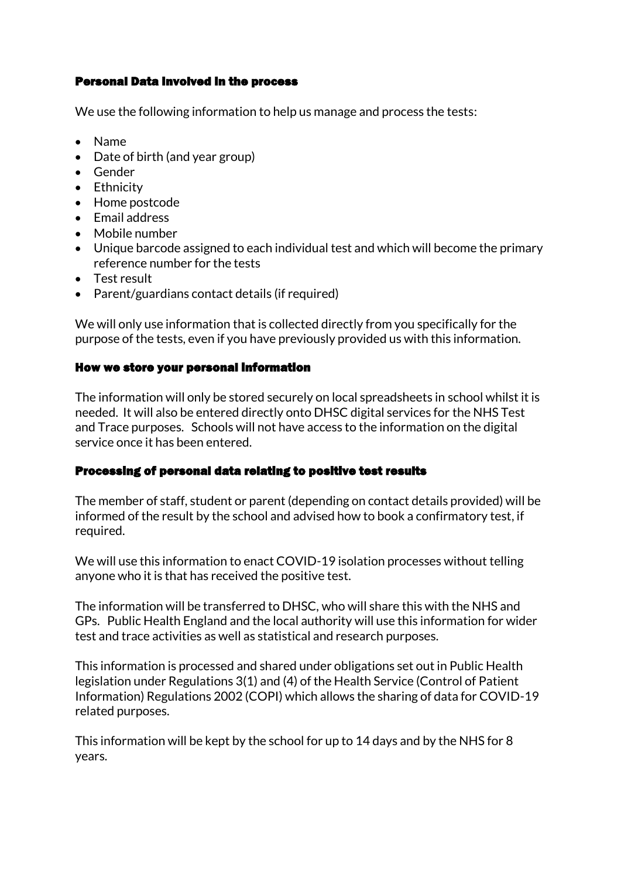#### Personal Data involved in the process

We use the following information to help us manage and process the tests:

- Name
- Date of birth (and year group)
- Gender
- Ethnicity
- Home postcode
- Email address
- Mobile number
- Unique barcode assigned to each individual test and which will become the primary reference number for the tests
- Test result
- Parent/guardians contact details (if required)

We will only use information that is collected directly from you specifically for the purpose of the tests, even if you have previously provided us with this information.

#### How we store your personal information

The information will only be stored securely on local spreadsheets in school whilst it is needed. It will also be entered directly onto DHSC digital services for the NHS Test and Trace purposes. Schools will not have access to the information on the digital service once it has been entered.

## Processing of personal data relating to positive test results

The member of staff, student or parent (depending on contact details provided) will be informed of the result by the school and advised how to book a confirmatory test, if required.

We will use this information to enact COVID-19 isolation processes without telling anyone who it is that has received the positive test.

The information will be transferred to DHSC, who will share this with the NHS and GPs. Public Health England and the local authority will use this information for wider test and trace activities as well as statistical and research purposes.

This information is processed and shared under obligations set out in Public Health legislation under Regulations 3(1) and (4) of the Health Service (Control of Patient Information) Regulations 2002 (COPI) which allows the sharing of data for COVID-19 related purposes.

This information will be kept by the school for up to 14 days and by the NHS for 8 years.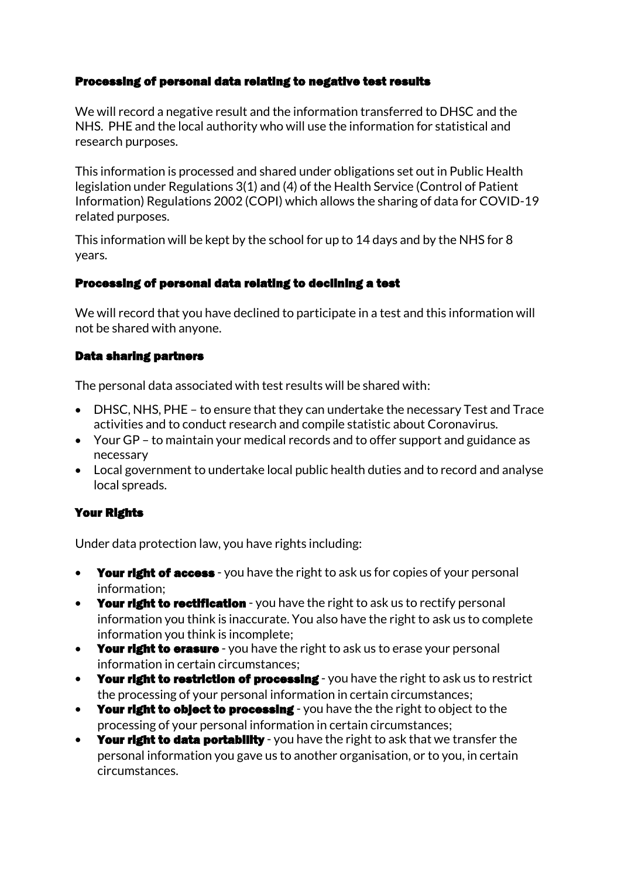#### Processing of personal data relating to negative test results

We will record a negative result and the information transferred to DHSC and the NHS. PHE and the local authority who will use the information for statistical and research purposes.

This information is processed and shared under obligations set out in Public Health legislation under Regulations 3(1) and (4) of the Health Service (Control of Patient Information) Regulations 2002 (COPI) which allows the sharing of data for COVID-19 related purposes.

This information will be kept by the school for up to 14 days and by the NHS for 8 years.

#### Processing of personal data relating to declining a test

We will record that you have declined to participate in a test and this information will not be shared with anyone.

## Data sharing partners

The personal data associated with test results will be shared with:

- DHSC, NHS, PHE to ensure that they can undertake the necessary Test and Trace activities and to conduct research and compile statistic about Coronavirus.
- Your GP to maintain your medical records and to offer support and guidance as necessary
- Local government to undertake local public health duties and to record and analyse local spreads.

## Your Rights

Under data protection law, you have rights including:

- Your right of access you have the right to ask us for copies of your personal information;
- Your right to rectification you have the right to ask us to rectify personal information you think is inaccurate. You also have the right to ask us to complete information you think is incomplete;
- Your right to erasure you have the right to ask us to erase your personal information in certain circumstances;
- Your right to restriction of processing you have the right to ask us to restrict the processing of your personal information in certain circumstances;
- Your right to object to processing you have the the right to object to the processing of your personal information in certain circumstances;
- Your right to data portability you have the right to ask that we transfer the personal information you gave us to another organisation, or to you, in certain circumstances.